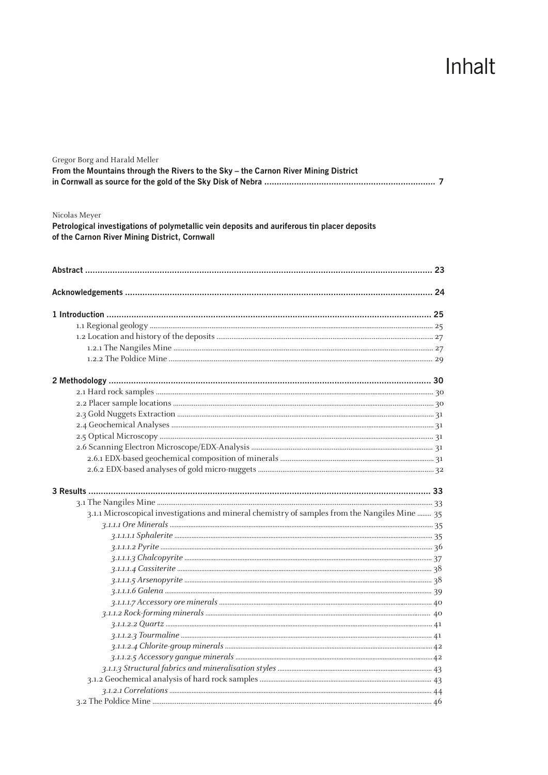## Inhalt

| Gregor Borg and Harald Meller<br>From the Mountains through the Rivers to the Sky - the Carnon River Mining District<br>Nicolas Meyer<br>Petrological investigations of polymetallic vein deposits and auriferous tin placer deposits<br>of the Carnon River Mining District, Cornwall |  |  |
|----------------------------------------------------------------------------------------------------------------------------------------------------------------------------------------------------------------------------------------------------------------------------------------|--|--|
|                                                                                                                                                                                                                                                                                        |  |  |
|                                                                                                                                                                                                                                                                                        |  |  |
|                                                                                                                                                                                                                                                                                        |  |  |
|                                                                                                                                                                                                                                                                                        |  |  |
|                                                                                                                                                                                                                                                                                        |  |  |
|                                                                                                                                                                                                                                                                                        |  |  |
|                                                                                                                                                                                                                                                                                        |  |  |
|                                                                                                                                                                                                                                                                                        |  |  |
|                                                                                                                                                                                                                                                                                        |  |  |
|                                                                                                                                                                                                                                                                                        |  |  |
|                                                                                                                                                                                                                                                                                        |  |  |
|                                                                                                                                                                                                                                                                                        |  |  |
|                                                                                                                                                                                                                                                                                        |  |  |
|                                                                                                                                                                                                                                                                                        |  |  |
|                                                                                                                                                                                                                                                                                        |  |  |
|                                                                                                                                                                                                                                                                                        |  |  |
|                                                                                                                                                                                                                                                                                        |  |  |
|                                                                                                                                                                                                                                                                                        |  |  |
| 31.1 Microscopical investigations and mineral chemistry of samples from the Nangiles Mine  35                                                                                                                                                                                          |  |  |
|                                                                                                                                                                                                                                                                                        |  |  |
|                                                                                                                                                                                                                                                                                        |  |  |
|                                                                                                                                                                                                                                                                                        |  |  |
|                                                                                                                                                                                                                                                                                        |  |  |
|                                                                                                                                                                                                                                                                                        |  |  |
|                                                                                                                                                                                                                                                                                        |  |  |
|                                                                                                                                                                                                                                                                                        |  |  |
|                                                                                                                                                                                                                                                                                        |  |  |
|                                                                                                                                                                                                                                                                                        |  |  |
|                                                                                                                                                                                                                                                                                        |  |  |
|                                                                                                                                                                                                                                                                                        |  |  |
|                                                                                                                                                                                                                                                                                        |  |  |
|                                                                                                                                                                                                                                                                                        |  |  |
|                                                                                                                                                                                                                                                                                        |  |  |
|                                                                                                                                                                                                                                                                                        |  |  |
|                                                                                                                                                                                                                                                                                        |  |  |
|                                                                                                                                                                                                                                                                                        |  |  |